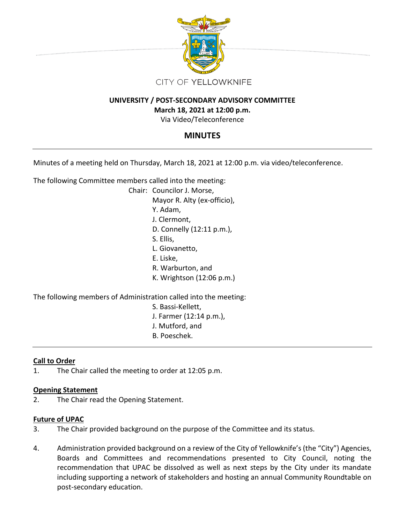

## **UNIVERSITY / POST-SECONDARY ADVISORY COMMITTEE**

## **March 18, 2021 at 12:00 p.m.**

Via Video/Teleconference

# **MINUTES**

Minutes of a meeting held on Thursday, March 18, 2021 at 12:00 p.m. via video/teleconference.

The following Committee members called into the meeting:

Chair: Councilor J. Morse, Mayor R. Alty (ex-officio), Y. Adam, J. Clermont, D. Connelly (12:11 p.m.), S. Ellis, L. Giovanetto, E. Liske, R. Warburton, and K. Wrightson (12:06 p.m.)

The following members of Administration called into the meeting:

- S. Bassi-Kellett, J. Farmer (12:14 p.m.),
- J. Mutford, and
- B. Poeschek.

## **Call to Order**

1. The Chair called the meeting to order at 12:05 p.m.

### **Opening Statement**

2. The Chair read the Opening Statement.

### **Future of UPAC**

- 3. The Chair provided background on the purpose of the Committee and its status.
- 4. Administration provided background on a review of the City of Yellowknife's (the "City") Agencies, Boards and Committees and recommendations presented to City Council, noting the recommendation that UPAC be dissolved as well as next steps by the City under its mandate including supporting a network of stakeholders and hosting an annual Community Roundtable on post-secondary education.